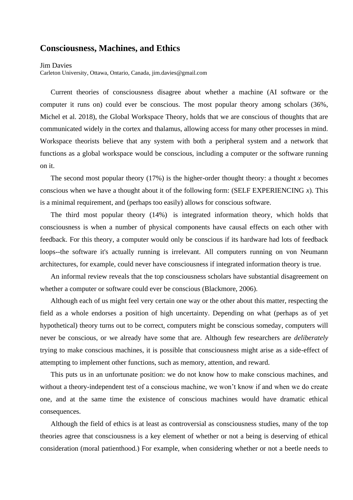## **Consciousness, Machines, and Ethics**

**Jim Davies** 

Carleton University, Ottawa, Ontario, Canada, jim.davies@gmail.com

Current theories of consciousness disagree about whether a machine (AI software or the computer it runs on) could ever be conscious. The most popular theory among scholars (36%, Michel et al. 2018), the Global Workspace Theory, holds that we are conscious of thoughts that are communicated widely in the cortex and thalamus, allowing access for many other processes in mind. Workspace theorists believe that any system with both a peripheral system and a network that functions as a global workspace would be conscious, including a computer or the software running on it.

The second most popular theory (17%) is the higher-order thought theory: a thought *x* becomes conscious when we have a thought about it of the following form: (SELF EXPERIENCING *x*). This is a minimal requirement, and (perhaps too easily) allows for conscious software.

The third most popular theory (14%) is integrated information theory, which holds that consciousness is when a number of physical components have causal effects on each other with feedback. For this theory, a computer would only be conscious if its hardware had lots of feedback loops--the software it's actually running is irrelevant. All computers running on von Neumann architectures, for example, could never have consciousness if integrated information theory is true.

An informal review reveals that the top consciousness scholars have substantial disagreement on whether a computer or software could ever be conscious (Blackmore, 2006).

Although each of us might feel very certain one way or the other about this matter, respecting the field as a whole endorses a position of high uncertainty. Depending on what (perhaps as of yet hypothetical) theory turns out to be correct, computers might be conscious someday, computers will never be conscious, or we already have some that are. Although few researchers are *deliberately* trying to make conscious machines, it is possible that consciousness might arise as a side-effect of attempting to implement other functions, such as memory, attention, and reward.

This puts us in an unfortunate position: we do not know how to make conscious machines, and without a theory-independent test of a conscious machine, we won't know if and when we do create one, and at the same time the existence of conscious machines would have dramatic ethical consequences.

Although the field of ethics is at least as controversial as consciousness studies, many of the top theories agree that consciousness is a key element of whether or not a being is deserving of ethical consideration (moral patienthood.) For example, when considering whether or not a beetle needs to